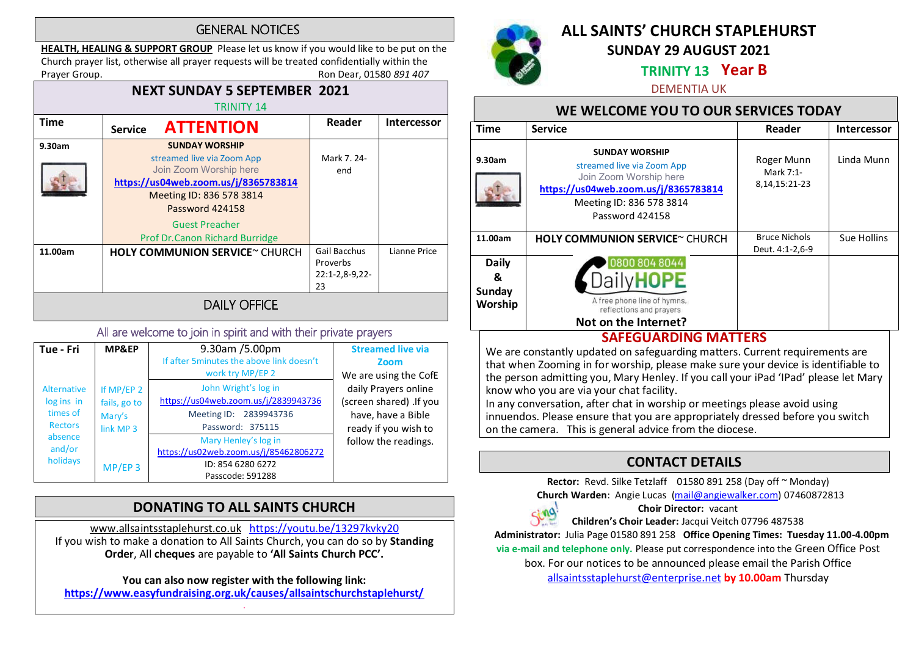### **GENERAL NOTICES**

HEALTH, HEALING & SUPPORT GROUP Please let us know if you would like to be put on the Church prayer list, otherwise all prayer requests will be treated confidentially within the Prayer Group. **Roup.** Ron Dear, 01580 891 407

#### NEXT SUNDAY 5 SEPTEMBER 2021 TRINITY 14 Time Service **ATTENTION** Reader Intercessor 9.30am SUNDAY WORSHIP streamed live via Zoom App Mark 7. 24- Join Zoom Worship here end https://us04web.zoom.us/j/8365783814 Meeting ID: 836 578 3814 Password 424158 Guest Preacher Prof Dr.Canon Richard Burridge 11.00am HOLY COMMUNION SERVICE~ CHURCH Gail Bacchus Lianne Price Proverbs 22:1-2,8-9,22- 23 **DAILY OFFICE**

### All are welcome to join in spirit and with their private prayers

| Tue - Fri                        | MP&EP                      | 9.30am /5.00pm<br>If after 5minutes the above link doesn't | <b>Streamed live via</b><br>Zoom |
|----------------------------------|----------------------------|------------------------------------------------------------|----------------------------------|
|                                  |                            | work try MP/EP 2                                           | We are using the CofE            |
| <b>Alternative</b><br>log ins in | If MP/EP 2<br>fails, go to | John Wright's log in                                       | daily Prayers online             |
|                                  |                            | https://us04web.zoom.us/j/2839943736                       | (screen shared) .If you          |
| times of                         | Mary's                     | Meeting ID: 2839943736                                     | have, have a Bible               |
| <b>Rectors</b>                   | link MP <sub>3</sub>       | Password: 375115                                           | ready if you wish to             |
| absence                          |                            | Mary Henley's log in                                       | follow the readings.             |
| and/or                           |                            | https://us02web.zoom.us/j/85462806272                      |                                  |
| holidays                         | $MP/EP$ 3                  | ID: 854 6280 6272                                          |                                  |
|                                  |                            | Passcode: 591288                                           |                                  |

# DONATING TO ALL SAINTS CHURCH

www.allsaintsstaplehurst.co.uk https://youtu.be/13297kvky20 If you wish to make a donation to All Saints Church, you can do so by Standing Order, All cheques are payable to 'All Saints Church PCC'.

You can also now register with the following link: https://www.easyfundraising.org.uk/causes/allsaintschurchstaplehurst/ .



# ALL SAINTS' CHURCH STAPLEHURST

SUNDAY 29 AUGUST 2021

## TRINITY 13 Year B

DEMENTIA UK

# WE WELCOME YOU TO OUR SERVICES TODAY

| <b>Time</b>                            | <b>Service</b>                                                                                                                                                       | Reader                                        | <b>Intercessor</b> |  |  |
|----------------------------------------|----------------------------------------------------------------------------------------------------------------------------------------------------------------------|-----------------------------------------------|--------------------|--|--|
| 9.30am                                 | <b>SUNDAY WORSHIP</b><br>streamed live via Zoom App<br>Join Zoom Worship here<br>https://us04web.zoom.us/j/8365783814<br>Meeting ID: 836 578 3814<br>Password 424158 | Roger Munn<br>Mark 7:1-<br>8, 14, 15: 21 - 23 | Linda Munn         |  |  |
| 11.00am                                | HOLY COMMUNION SERVICE~ CHURCH                                                                                                                                       | <b>Bruce Nichols</b><br>Deut. 4:1-2,6-9       | Sue Hollins        |  |  |
| <b>Daily</b><br>&<br>Sunday<br>Worship | 0800 804 8044<br>A free phone line of hymns,<br>reflections and prayers<br>Not on the Internet?                                                                      |                                               |                    |  |  |
| CAFFCULADDING MAATTEDC                 |                                                                                                                                                                      |                                               |                    |  |  |

## SAFEGUARDING MATTERS

We are constantly updated on safeguarding matters. Current requirements are that when Zooming in for worship, please make sure your device is identifiable to the person admitting you, Mary Henley. If you call your iPad 'IPad' please let Mary know who you are via your chat facility.

In any conversation, after chat in worship or meetings please avoid using innuendos. Please ensure that you are appropriately dressed before you switch on the camera. This is general advice from the diocese.

# CONTACT DETAILS

Rector: Revd. Silke Tetzlaff 01580 891 258 (Day off ~ Monday) Church Warden: Angie Lucas (mail@angiewalker.com) 07460872813



Choir Director: vacant

Children's Choir Leader: Jacqui Veitch 07796 487538

Administrator: Julia Page 01580 891 258 Office Opening Times: Tuesday 11.00-4.00pm

via e-mail and telephone only. Please put correspondence into the Green Office Post

box. For our notices to be announced please email the Parish Office

allsaintsstaplehurst@enterprise.net by 10.00am Thursday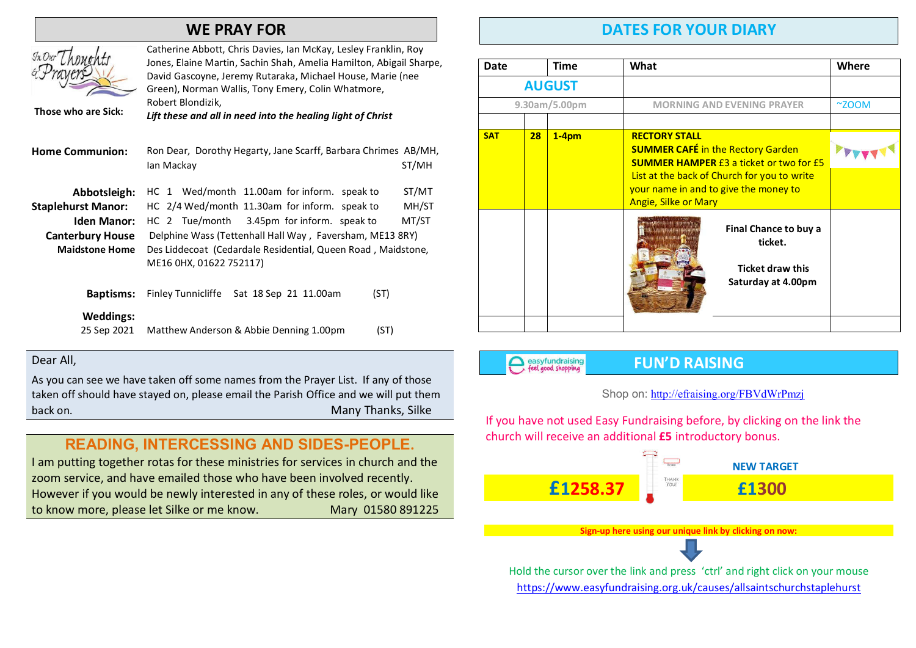# WE PRAY FOR



Catherine Abbott, Chris Davies, Ian McKay, Lesley Franklin, Roy Jones, Elaine Martin, Sachin Shah, Amelia Hamilton, Abigail Sharpe, David Gascoyne, Jeremy Rutaraka, Michael House, Marie (nee Green), Norman Wallis, Tony Emery, Colin Whatmore, Robert Blondizik,

Those who are Sick:

Lift these and all in need into the healing light of Christ

- Home Communion: Ron Dear, Dorothy Hegarty, Jane Scarff, Barbara Chrimes AB/MH, Ian Mackay ST/MH Abbotsleigh: HC 1 Wed/month 11.00am for inform. speak to ST/MT
- Staplehurst Manor: HC 2/4 Wed/month 11.30am for inform. speak to MH/ST Iden Manor: HC 2 Tue/month 3.45pm for inform. speak to MT/ST

Canterbury House Delphine Wass (Tettenhall Hall Way, Faversham, ME13 8RY)

Maidstone Home Des Liddecoat (Cedardale Residential, Queen Road , Maidstone, ME16 0HX, 01622 752117)

| <b>Baptisms:</b> | Finley Tunnicliffe Sat 18 Sep 21 11.00am | (ST) |
|------------------|------------------------------------------|------|
| Weddings:        |                                          |      |
| 25 Sep 2021      | Matthew Anderson & Abbie Denning 1.00pm  | (ST) |

#### Dear All,

As you can see we have taken off some names from the Prayer List. If any of those taken off should have stayed on, please email the Parish Office and we will put them back on. Many Thanks, Silke

# **READING, INTERCESSING AND SIDES-PEOPLE**.

I am putting together rotas for these ministries for services in church and the zoom service, and have emailed those who have been involved recently. However if you would be newly interested in any of these roles, or would like to know more, please let Silke or me know. Mary 01580 891225

# DATES FOR YOUR DIARY

| <b>Date</b>   |    | Time    | What                                                                                                                | Where          |
|---------------|----|---------|---------------------------------------------------------------------------------------------------------------------|----------------|
| <b>AUGUST</b> |    |         |                                                                                                                     |                |
| 9.30am/5.00pm |    |         | <b>MORNING AND EVENING PRAYER</b>                                                                                   | $^{\sim}$ ZOOM |
|               |    |         |                                                                                                                     |                |
| <b>SAT</b>    | 28 | $1-4pm$ | <b>RECTORY STALL</b><br><b>SUMMER CAFÉ in the Rectory Garden</b><br><b>SUMMER HAMPER £3 a ticket or two for £5</b>  |                |
|               |    |         | List at the back of Church for you to write<br>your name in and to give the money to<br><b>Angie, Silke or Mary</b> |                |
|               |    |         | Final Chance to buy a<br>ticket.<br><b>Ticket draw this</b><br>Saturday at 4.00pm                                   |                |
|               |    |         |                                                                                                                     |                |

easyfundraising

## FUN'D RAISING

### Shop on: http://efraising.org/FBVdWrPmzj

If you have not used Easy Fundraising before, by clicking on the link the church will receive an additional £5 introductory bonus.

 NEW TARGET £1258.37 £1300

Sign-up here using our unique link by clicking on now:

Hold the cursor over the link and press 'ctrl' and right click on your mouse https://www.easyfundraising.org.uk/causes/allsaintschurchstaplehurst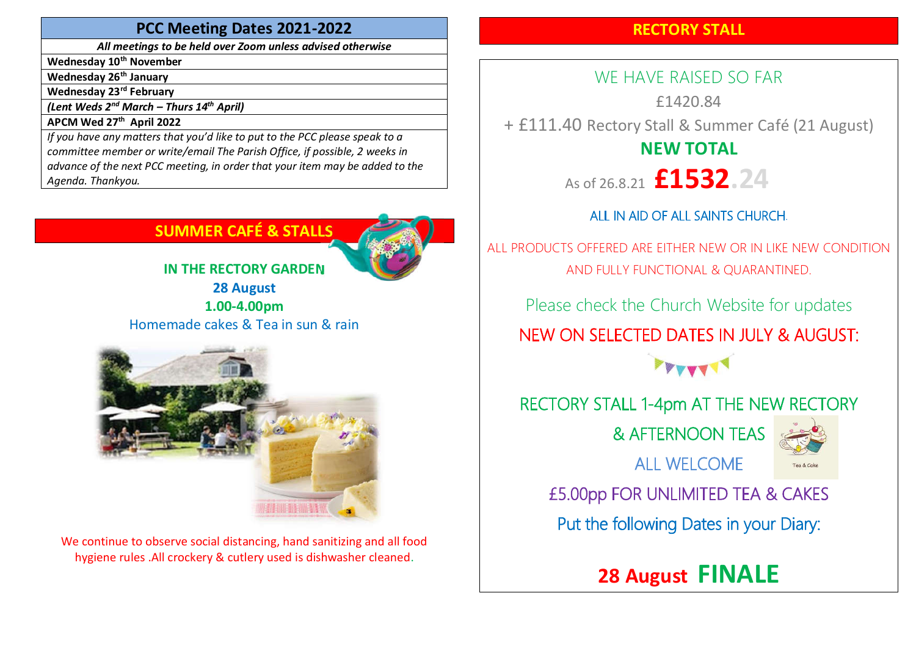## PCC Meeting Dates 2021-2022

All meetings to be held over Zoom unless advised otherwise

Wednesday 10<sup>th</sup> November

Wednesday 26<sup>th</sup> January

Wednesday 23<sup>rd</sup> February

(Lent Weds  $2^{nd}$  March – Thurs  $14^{th}$  April)

APCM Wed 27<sup>th</sup> April 2022

If you have any matters that you'd like to put to the PCC please speak to a committee member or write/email The Parish Office, if possible, 2 weeks in advance of the next PCC meeting, in order that your item may be added to the Agenda. Thankyou.

# SUMMER CAFÉ & STALLS



IN THE RECTORY GARDEN 28 August 1.00-4.00pm Homemade cakes & Tea in sun & rain



We continue to observe social distancing, hand sanitizing and all food hygiene rules .All crockery & cutlery used is dishwasher cleaned.

# RECTORY STALL

WE HAVE RAISED SO FAR £1420.84 + £111.40 Rectory Stall & Summer Café (21 August) NEW TOTAL As of 26.8.21 **£1532.24** 

# ALL IN AID OF ALL SAINTS CHURCH.

ALL PRODUCTS OFFERED ARE EITHER NEW OR IN LIKE NEW CONDITION AND FULLY FUNCTIONAL & QUARANTINED.

Please check the Church Website for updates NEW ON SELECTED DATES IN JULY & AUGUST:

FFETT

# RECTORY STALL 1-4pm AT THE NEW RECTORY

& AFTERNOON TEAS



ALL WELCOME

£5.00pp FOR UNLIMITED TEA & CAKES

Put the following Dates in your Diary:

28 August FINALE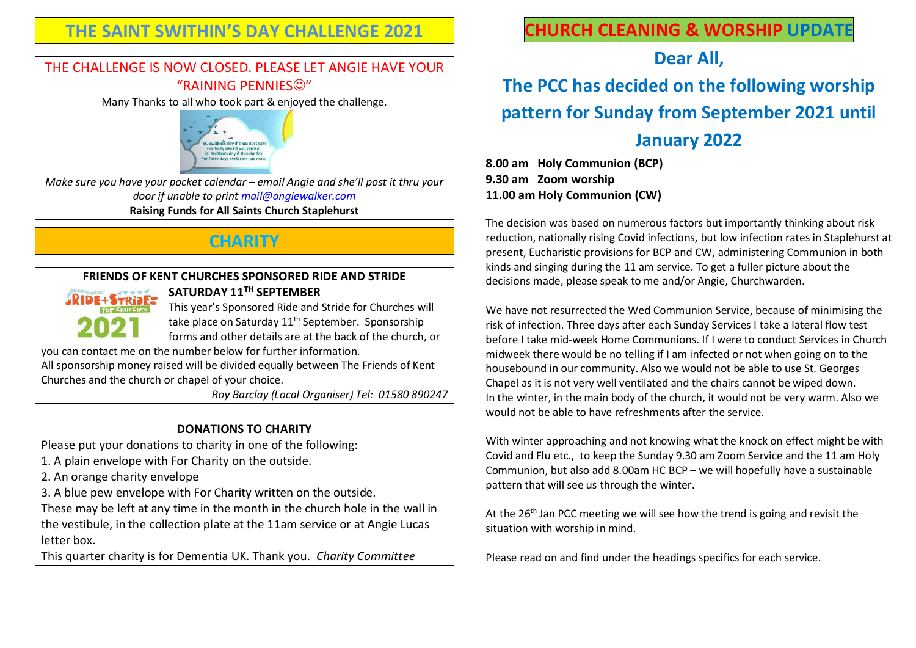# THE SAINT SWITHIN'S DAY CHALLENGE 2021

# THE CHALLENGE IS NOW CLOSED. PLEASE LET ANGIE HAVE YOUR "RAINING PENNIFS<sup>(C)"</sup>

Many Thanks to all who took part & enjoyed the challenge.



Make sure you have your pocket calendar – email Angie and she'll post it thru your door if unable to print mail@angiewalker.com Raising Funds for All Saints Church Staplehurst

# **CHARITY**

#### FRIENDS OF KENT CHURCHES SPONSORED RIDE AND STRIDE SATURDAY 11TH SEPTEMBER



This year's Sponsored Ride and Stride for Churches will take place on Saturday 11<sup>th</sup> September. Sponsorship forms and other details are at the back of the church, or

you can contact me on the number below for further information.

All sponsorship money raised will be divided equally between The Friends of Kent Churches and the church or chapel of your choice.

Roy Barclay (Local Organiser) Tel: 01580 890247

## DONATIONS TO CHARITY

Please put your donations to charity in one of the following:

1. A plain envelope with For Charity on the outside.

2. An orange charity envelope

3. A blue pew envelope with For Charity written on the outside.

These may be left at any time in the month in the church hole in the wall in the vestibule, in the collection plate at the 11am service or at Angie Lucas letter box.

This quarter charity is for Dementia UK. Thank you. Charity Committee

# CHURCH CLEANING & WORSHIP UPDATE

# Dear All,

# The PCC has decided on the following worship pattern for Sunday from September 2021 until January 2022

8.00 am Holy Communion (BCP) 9.30 am Zoom worship 11.00 am Holy Communion (CW)

The decision was based on numerous factors but importantly thinking about risk reduction, nationally rising Covid infections, but low infection rates in Staplehurst at present, Eucharistic provisions for BCP and CW, administering Communion in both kinds and singing during the 11 am service. To get a fuller picture about the decisions made, please speak to me and/or Angie, Churchwarden.

We have not resurrected the Wed Communion Service, because of minimising the risk of infection. Three days after each Sunday Services I take a lateral flow test before I take mid-week Home Communions. If I were to conduct Services in Church midweek there would be no telling if I am infected or not when going on to the housebound in our community. Also we would not be able to use St. Georges Chapel as it is not very well ventilated and the chairs cannot be wiped down. In the winter, in the main body of the church, it would not be very warm. Also we would not be able to have refreshments after the service.

With winter approaching and not knowing what the knock on effect might be with Covid and Flu etc., to keep the Sunday 9.30 am Zoom Service and the 11 am Holy Communion, but also add 8.00am HC BCP – we will hopefully have a sustainable pattern that will see us through the winter.

At the 26<sup>th</sup> Jan PCC meeting we will see how the trend is going and revisit the situation with worship in mind.

Please read on and find under the headings specifics for each service.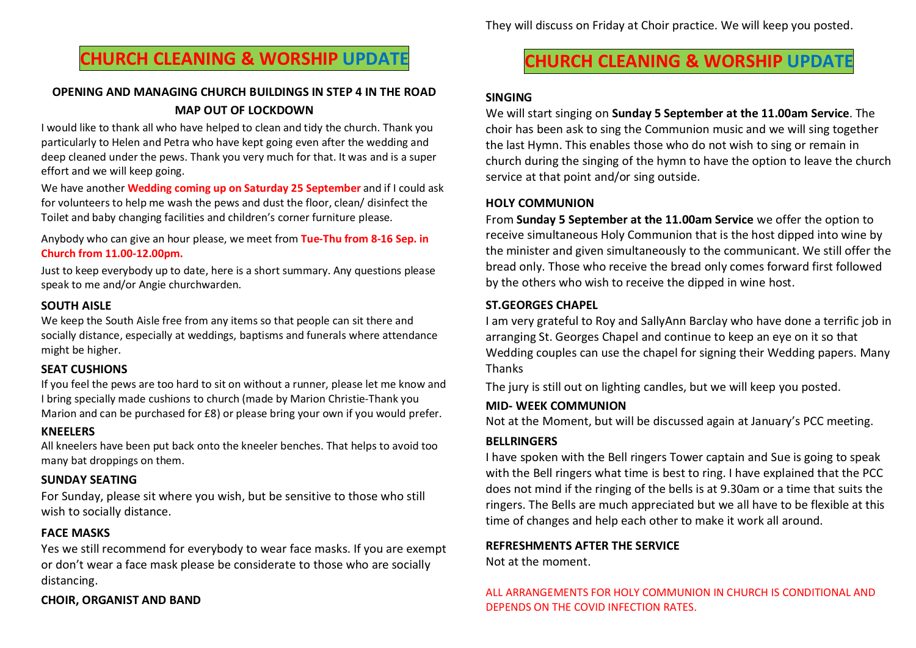# CHURCH CLEANING & WORSHIP UPDATE

### OPENING AND MANAGING CHURCH BUILDINGS IN STEP 4 IN THE ROAD MAP OUT OF LOCKDOWN

I would like to thank all who have helped to clean and tidy the church. Thank you particularly to Helen and Petra who have kept going even after the wedding and deep cleaned under the pews. Thank you very much for that. It was and is a super effort and we will keep going.

We have another Wedding coming up on Saturday 25 September and if I could ask for volunteers to help me wash the pews and dust the floor, clean/ disinfect the Toilet and baby changing facilities and children's corner furniture please.

Anybody who can give an hour please, we meet from Tue-Thu from 8-16 Sep. in Church from 11.00-12.00pm.

Just to keep everybody up to date, here is a short summary. Any questions please speak to me and/or Angie churchwarden.

#### SOUTH AISLE

We keep the South Aisle free from any items so that people can sit there and socially distance, especially at weddings, baptisms and funerals where attendance might be higher.

#### SEAT CUSHIONS

If you feel the pews are too hard to sit on without a runner, please let me know and I bring specially made cushions to church (made by Marion Christie-Thank you Marion and can be purchased for £8) or please bring your own if you would prefer.

#### KNEELERS

All kneelers have been put back onto the kneeler benches. That helps to avoid too many bat droppings on them.

#### SUNDAY SEATING

For Sunday, please sit where you wish, but be sensitive to those who still wish to socially distance.

### FACE MASKS

Yes we still recommend for everybody to wear face masks. If you are exempt or don't wear a face mask please be considerate to those who are socially distancing.

### CHOIR, ORGANIST AND BAND

# CHURCH CLEANING & WORSHIP UPDATE

#### SINGING

We will start singing on Sunday 5 September at the 11.00am Service. The choir has been ask to sing the Communion music and we will sing together the last Hymn. This enables those who do not wish to sing or remain in church during the singing of the hymn to have the option to leave the church service at that point and/or sing outside.

#### HOLY COMMUNION

From Sunday 5 September at the 11.00am Service we offer the option to receive simultaneous Holy Communion that is the host dipped into wine by the minister and given simultaneously to the communicant. We still offer the bread only. Those who receive the bread only comes forward first followed by the others who wish to receive the dipped in wine host.

#### ST.GEORGES CHAPEL

I am very grateful to Roy and SallyAnn Barclay who have done a terrific job in arranging St. Georges Chapel and continue to keep an eye on it so that Wedding couples can use the chapel for signing their Wedding papers. Many Thanks

The jury is still out on lighting candles, but we will keep you posted.

#### MID- WEEK COMMUNION

Not at the Moment, but will be discussed again at January's PCC meeting.

### BELLRINGERS

I have spoken with the Bell ringers Tower captain and Sue is going to speak with the Bell ringers what time is best to ring. I have explained that the PCC does not mind if the ringing of the bells is at 9.30am or a time that suits the ringers. The Bells are much appreciated but we all have to be flexible at this time of changes and help each other to make it work all around.

#### REFRESHMENTS AFTER THE SERVICE

Not at the moment.

#### ALL ARRANGEMENTS FOR HOLY COMMUNION IN CHURCH IS CONDITIONAL AND DEPENDS ON THE COVID INFECTION RATES.